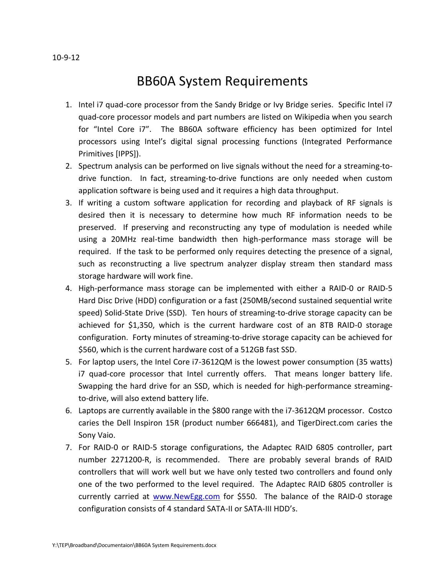## BB60A System Requirements

- 1. Intel i7 quad-core processor from the Sandy Bridge or Ivy Bridge series. Specific Intel i7 quad-core processor models and part numbers are listed on Wikipedia when you search for "Intel Core i7". The BB60A software efficiency has been optimized for Intel processors using Intel's digital signal processing functions (Integrated Performance Primitives [IPPS]).
- 2. Spectrum analysis can be performed on live signals without the need for a streaming-todrive function. In fact, streaming-to-drive functions are only needed when custom application software is being used and it requires a high data throughput.
- 3. If writing a custom software application for recording and playback of RF signals is desired then it is necessary to determine how much RF information needs to be preserved. If preserving and reconstructing any type of modulation is needed while using a 20MHz real-time bandwidth then high-performance mass storage will be required. If the task to be performed only requires detecting the presence of a signal, such as reconstructing a live spectrum analyzer display stream then standard mass storage hardware will work fine.
- 4. High-performance mass storage can be implemented with either a RAID-0 or RAID-5 Hard Disc Drive (HDD) configuration or a fast (250MB/second sustained sequential write speed) Solid-State Drive (SSD). Ten hours of streaming-to-drive storage capacity can be achieved for \$1,350, which is the current hardware cost of an 8TB RAID-0 storage configuration. Forty minutes of streaming-to-drive storage capacity can be achieved for \$560, which is the current hardware cost of a 512GB fast SSD.
- 5. For laptop users, the Intel Core i7-3612QM is the lowest power consumption (35 watts) i7 quad-core processor that Intel currently offers. That means longer battery life. Swapping the hard drive for an SSD, which is needed for high-performance streamingto-drive, will also extend battery life.
- 6. Laptops are currently available in the \$800 range with the i7-3612QM processor. Costco caries the Dell Inspiron 15R (product number 666481), and TigerDirect.com caries the Sony Vaio.
- 7. For RAID-0 or RAID-5 storage configurations, the Adaptec RAID 6805 controller, part number 2271200-R, is recommended. There are probably several brands of RAID controllers that will work well but we have only tested two controllers and found only one of the two performed to the level required. The Adaptec RAID 6805 controller is currently carried at [www.NewEgg.com](http://www.newegg.com/) for \$550. The balance of the RAID-0 storage configuration consists of 4 standard SATA-II or SATA-III HDD's.